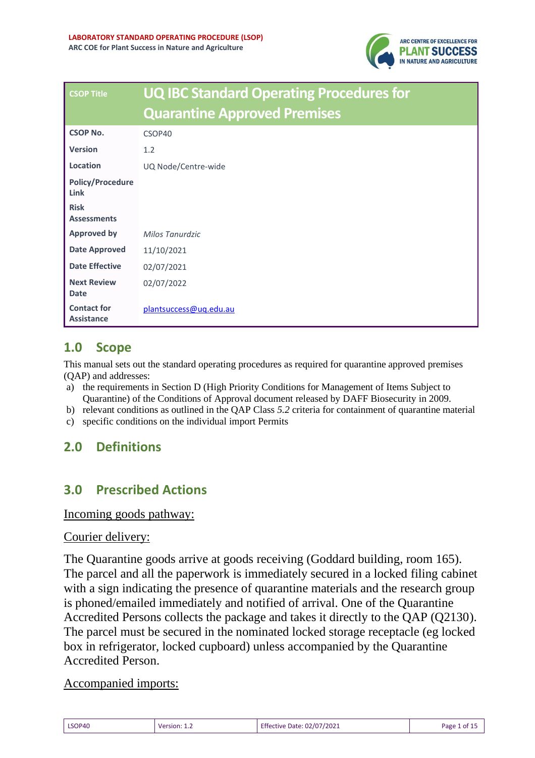

| <b>CSOP Title</b>                       | <b>UQ IBC Standard Operating Procedures for</b> |  |
|-----------------------------------------|-------------------------------------------------|--|
|                                         | <b>Quarantine Approved Premises</b>             |  |
| <b>CSOP No.</b>                         | CSOP40                                          |  |
| <b>Version</b>                          | 1.2                                             |  |
| Location                                | UQ Node/Centre-wide                             |  |
| <b>Policy/Procedure</b><br>Link         |                                                 |  |
| <b>Risk</b><br><b>Assessments</b>       |                                                 |  |
| <b>Approved by</b>                      | Milos Tanurdzic                                 |  |
| <b>Date Approved</b>                    | 11/10/2021                                      |  |
| <b>Date Effective</b>                   | 02/07/2021                                      |  |
| <b>Next Review</b><br><b>Date</b>       | 02/07/2022                                      |  |
| <b>Contact for</b><br><b>Assistance</b> | plantsuccess@uq.edu.au                          |  |

# **1.0 Scope**

This manual sets out the standard operating procedures as required for quarantine approved premises (QAP) and addresses:

- a) the requirements in Section D (High Priority Conditions for Management of Items Subject to Quarantine) of the Conditions of Approval document released by DAFF Biosecurity in 2009.
- b) relevant conditions as outlined in the QAP Class *5.2* criteria for containment of quarantine material
- c) specific conditions on the individual import Permits

# **2.0 Definitions**

# **3.0 Prescribed Actions**

#### Incoming goods pathway:

#### Courier delivery:

The Quarantine goods arrive at goods receiving (Goddard building, room 165). The parcel and all the paperwork is immediately secured in a locked filing cabinet with a sign indicating the presence of quarantine materials and the research group is phoned/emailed immediately and notified of arrival. One of the Quarantine Accredited Persons collects the package and takes it directly to the QAP (Q2130). The parcel must be secured in the nominated locked storage receptacle (eg locked box in refrigerator, locked cupboard) unless accompanied by the Quarantine Accredited Person.

#### Accompanied imports:

| LSOP40 | <b>Version:</b> 1.4 | <b>Effective Date: 02/07/2021</b> | Page 1 of 15 |
|--------|---------------------|-----------------------------------|--------------|
|        |                     |                                   |              |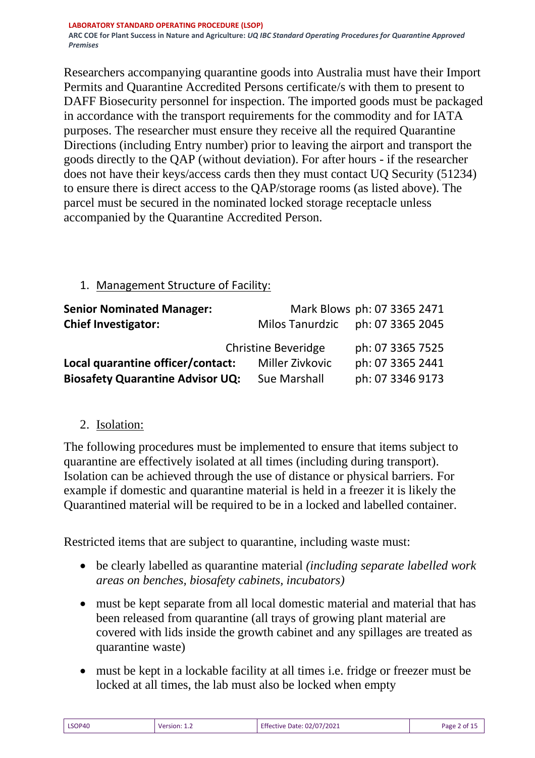Researchers accompanying quarantine goods into Australia must have their Import Permits and Quarantine Accredited Persons certificate/s with them to present to DAFF Biosecurity personnel for inspection. The imported goods must be packaged in accordance with the transport requirements for the commodity and for IATA purposes. The researcher must ensure they receive all the required Quarantine Directions (including Entry number) prior to leaving the airport and transport the goods directly to the QAP (without deviation). For after hours - if the researcher does not have their keys/access cards then they must contact UQ Security (51234) to ensure there is direct access to the QAP/storage rooms (as listed above). The parcel must be secured in the nominated locked storage receptacle unless accompanied by the Quarantine Accredited Person.

## 1. Management Structure of Facility:

| <b>Senior Nominated Manager:</b>        |                            | Mark Blows ph: 07 3365 2471 |
|-----------------------------------------|----------------------------|-----------------------------|
| <b>Chief Investigator:</b>              | <b>Milos Tanurdzic</b>     | ph: 07 3365 2045            |
|                                         | <b>Christine Beveridge</b> | ph: 07 3365 7525            |
| Local quarantine officer/contact:       | <b>Miller Zivkovic</b>     | ph: 07 3365 2441            |
| <b>Biosafety Quarantine Advisor UQ:</b> | <b>Sue Marshall</b>        | ph: 07 3346 9173            |

# 2. Isolation:

The following procedures must be implemented to ensure that items subject to quarantine are effectively isolated at all times (including during transport). Isolation can be achieved through the use of distance or physical barriers. For example if domestic and quarantine material is held in a freezer it is likely the Quarantined material will be required to be in a locked and labelled container.

Restricted items that are subject to quarantine, including waste must:

- be clearly labelled as quarantine material *(including separate labelled work areas on benches, biosafety cabinets, incubators)*
- must be kept separate from all local domestic material and material that has been released from quarantine (all trays of growing plant material are covered with lids inside the growth cabinet and any spillages are treated as quarantine waste)
- must be kept in a lockable facility at all times i.e. fridge or freezer must be locked at all times, the lab must also be locked when empty

| LSOP40 | Version: | Effective Date: 02/07/2021 | Page 2 of 1 |
|--------|----------|----------------------------|-------------|
|--------|----------|----------------------------|-------------|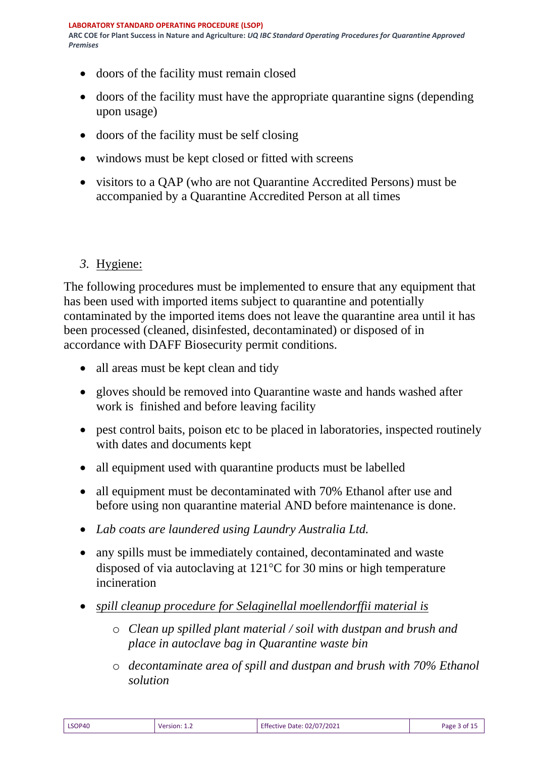- doors of the facility must remain closed
- doors of the facility must have the appropriate quarantine signs (depending upon usage)
- doors of the facility must be self closing
- windows must be kept closed or fitted with screens
- visitors to a QAP (who are not Quarantine Accredited Persons) must be accompanied by a Quarantine Accredited Person at all times

## *3.* Hygiene:

The following procedures must be implemented to ensure that any equipment that has been used with imported items subject to quarantine and potentially contaminated by the imported items does not leave the quarantine area until it has been processed (cleaned, disinfested, decontaminated) or disposed of in accordance with DAFF Biosecurity permit conditions.

- all areas must be kept clean and tidy
- gloves should be removed into Quarantine waste and hands washed after work is finished and before leaving facility
- pest control baits, poison etc to be placed in laboratories, inspected routinely with dates and documents kept
- all equipment used with quarantine products must be labelled
- all equipment must be decontaminated with 70% Ethanol after use and before using non quarantine material AND before maintenance is done.
- *Lab coats are laundered using Laundry Australia Ltd.*
- any spills must be immediately contained, decontaminated and waste disposed of via autoclaving at  $121^{\circ}$ C for 30 mins or high temperature incineration
- *spill cleanup procedure for Selaginellal moellendorffii material is*
	- o *Clean up spilled plant material / soil with dustpan and brush and place in autoclave bag in Quarantine waste bin*
	- o *decontaminate area of spill and dustpan and brush with 70% Ethanol solution*

| LSOP40 | Version: 1.2 | <b>Effective Date: 02/07/2021</b> | Page 3 of 15 |
|--------|--------------|-----------------------------------|--------------|
|        |              |                                   |              |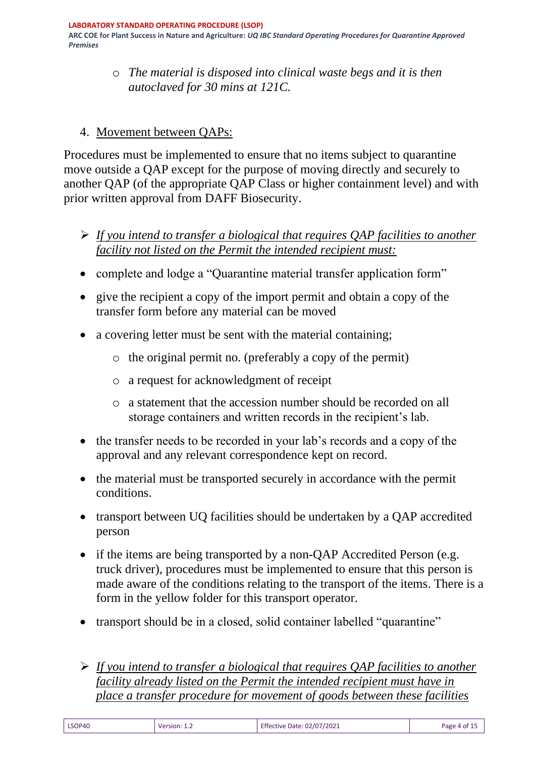**ARC COE for Plant Success in Nature and Agriculture:** *UQ IBC Standard Operating Procedures for Quarantine Approved Premises*

> o *The material is disposed into clinical waste begs and it is then autoclaved for 30 mins at 121C.*

## 4. Movement between QAPs:

Procedures must be implemented to ensure that no items subject to quarantine move outside a QAP except for the purpose of moving directly and securely to another QAP (of the appropriate QAP Class or higher containment level) and with prior written approval from DAFF Biosecurity.

- ➢ *If you intend to transfer a biological that requires QAP facilities to another facility not listed on the Permit the intended recipient must:*
- complete and lodge a "Quarantine material transfer application form"
- give the recipient a copy of the import permit and obtain a copy of the transfer form before any material can be moved
- a covering letter must be sent with the material containing;
	- o the original permit no. (preferably a copy of the permit)
	- o a request for acknowledgment of receipt
	- o a statement that the accession number should be recorded on all storage containers and written records in the recipient's lab.
- the transfer needs to be recorded in your lab's records and a copy of the approval and any relevant correspondence kept on record.
- the material must be transported securely in accordance with the permit conditions.
- transport between UQ facilities should be undertaken by a QAP accredited person
- if the items are being transported by a non-QAP Accredited Person (e.g. truck driver), procedures must be implemented to ensure that this person is made aware of the conditions relating to the transport of the items. There is a form in the yellow folder for this transport operator.
- transport should be in a closed, solid container labelled "quarantine"
- ➢ *If you intend to transfer a biological that requires QAP facilities to another facility already listed on the Permit the intended recipient must have in place a transfer procedure for movement of goods between these facilities*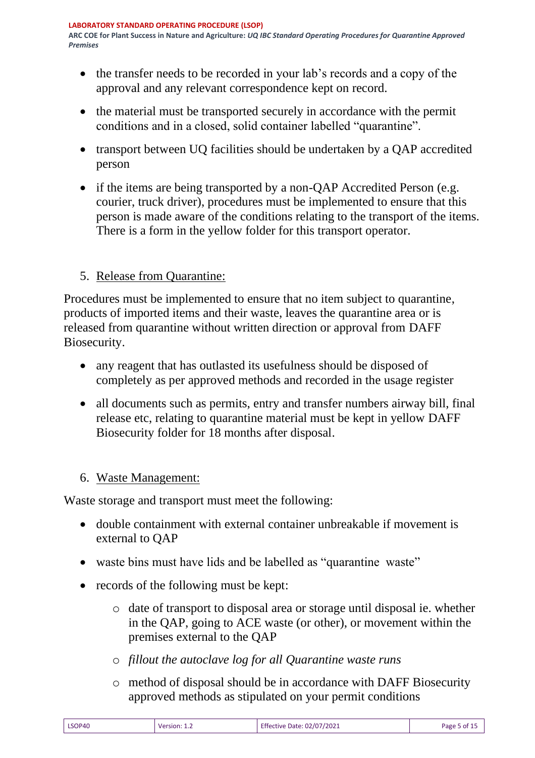- the transfer needs to be recorded in your lab's records and a copy of the approval and any relevant correspondence kept on record.
- the material must be transported securely in accordance with the permit conditions and in a closed, solid container labelled "quarantine".
- transport between UQ facilities should be undertaken by a QAP accredited person
- if the items are being transported by a non-QAP Accredited Person (e.g. courier, truck driver), procedures must be implemented to ensure that this person is made aware of the conditions relating to the transport of the items. There is a form in the yellow folder for this transport operator.

## 5. Release from Quarantine:

Procedures must be implemented to ensure that no item subject to quarantine, products of imported items and their waste, leaves the quarantine area or is released from quarantine without written direction or approval from DAFF Biosecurity.

- any reagent that has outlasted its usefulness should be disposed of completely as per approved methods and recorded in the usage register
- all documents such as permits, entry and transfer numbers airway bill, final release etc, relating to quarantine material must be kept in yellow DAFF Biosecurity folder for 18 months after disposal.

### 6. Waste Management:

Waste storage and transport must meet the following:

- double containment with external container unbreakable if movement is external to QAP
- waste bins must have lids and be labelled as "quarantine waste"
- records of the following must be kept:
	- o date of transport to disposal area or storage until disposal ie. whether in the QAP, going to ACE waste (or other), or movement within the premises external to the QAP
	- o *fillout the autoclave log for all Quarantine waste runs*
	- o method of disposal should be in accordance with DAFF Biosecurity approved methods as stipulated on your permit conditions

| LSOP40 | Version: $1.2$ | Effective Date: 02/07/2021 | Page 5 of $15$ |
|--------|----------------|----------------------------|----------------|
|--------|----------------|----------------------------|----------------|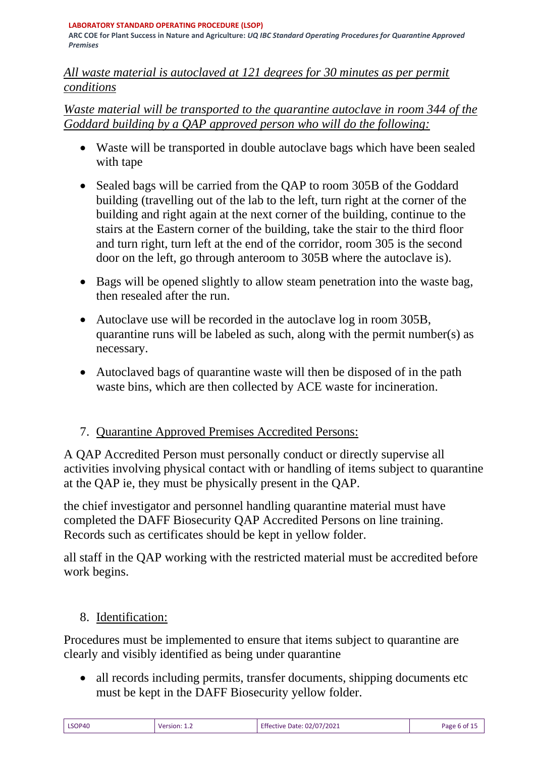#### **LABORATORY STANDARD OPERATING PROCEDURE (LSOP)**

**ARC COE for Plant Success in Nature and Agriculture:** *UQ IBC Standard Operating Procedures for Quarantine Approved Premises*

### *All waste material is autoclaved at 121 degrees for 30 minutes as per permit conditions*

## *Waste material will be transported to the quarantine autoclave in room 344 of the Goddard building by a QAP approved person who will do the following:*

- Waste will be transported in double autoclave bags which have been sealed with tape
- Sealed bags will be carried from the QAP to room 305B of the Goddard building (travelling out of the lab to the left, turn right at the corner of the building and right again at the next corner of the building, continue to the stairs at the Eastern corner of the building, take the stair to the third floor and turn right, turn left at the end of the corridor, room 305 is the second door on the left, go through anteroom to 305B where the autoclave is).
- Bags will be opened slightly to allow steam penetration into the waste bag, then resealed after the run.
- Autoclave use will be recorded in the autoclave log in room 305B, quarantine runs will be labeled as such, along with the permit number(s) as necessary.
- Autoclaved bags of quarantine waste will then be disposed of in the path waste bins, which are then collected by ACE waste for incineration.

# 7. Quarantine Approved Premises Accredited Persons:

A QAP Accredited Person must personally conduct or directly supervise all activities involving physical contact with or handling of items subject to quarantine at the QAP ie, they must be physically present in the QAP.

the chief investigator and personnel handling quarantine material must have completed the DAFF Biosecurity QAP Accredited Persons on line training. Records such as certificates should be kept in yellow folder.

all staff in the QAP working with the restricted material must be accredited before work begins.

# 8. Identification:

Procedures must be implemented to ensure that items subject to quarantine are clearly and visibly identified as being under quarantine

• all records including permits, transfer documents, shipping documents etc must be kept in the DAFF Biosecurity yellow folder.

| LSOP40 | Version:<br>________ | <b>Effective Date: 02/07/2021</b> | Page 6 of |
|--------|----------------------|-----------------------------------|-----------|
|--------|----------------------|-----------------------------------|-----------|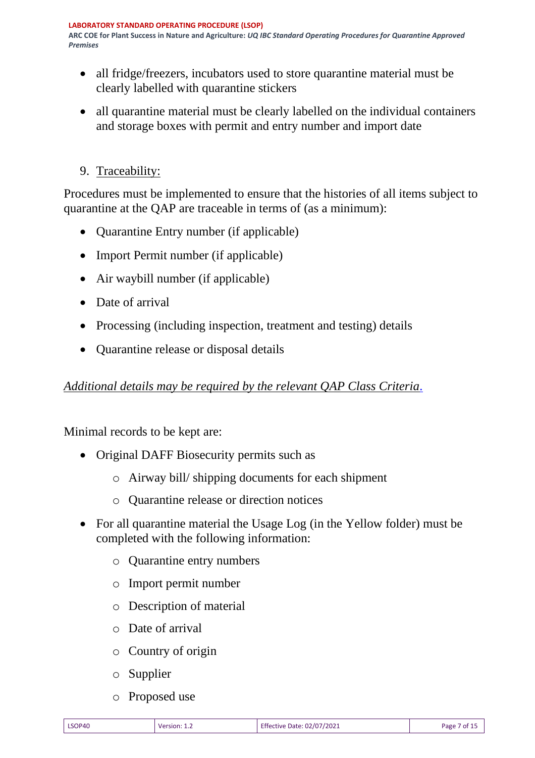- all fridge/freezers, incubators used to store quarantine material must be clearly labelled with quarantine stickers
- all quarantine material must be clearly labelled on the individual containers and storage boxes with permit and entry number and import date
- 9. Traceability:

Procedures must be implemented to ensure that the histories of all items subject to quarantine at the QAP are traceable in terms of (as a minimum):

- Ouarantine Entry number (if applicable)
- Import Permit number (if applicable)
- Air waybill number (if applicable)
- Date of arrival
- Processing (including inspection, treatment and testing) details
- Quarantine release or disposal details

# *Additional details may be required by the relevant QAP Class Criteria.*

Minimal records to be kept are:

- Original DAFF Biosecurity permits such as
	- o Airway bill/ shipping documents for each shipment
	- o Quarantine release or direction notices
- For all quarantine material the Usage Log (in the Yellow folder) must be completed with the following information:
	- o Quarantine entry numbers
	- o Import permit number
	- o Description of material
	- o Date of arrival
	- o Country of origin
	- o Supplier
	- o Proposed use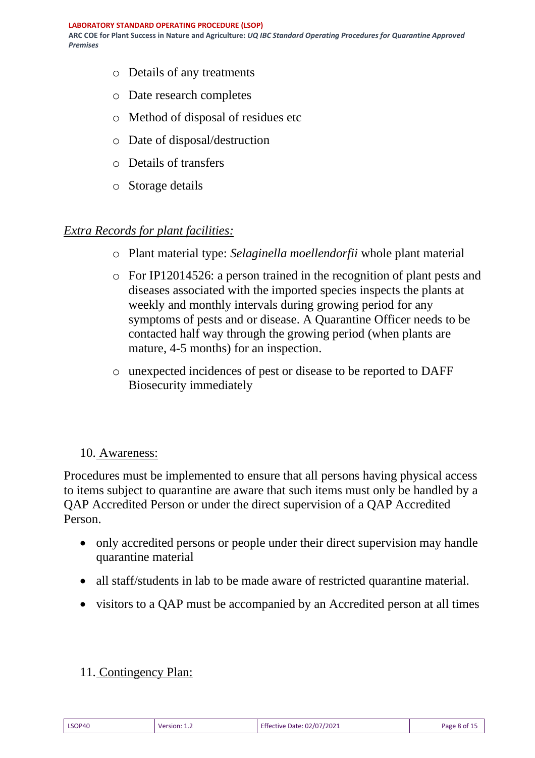- o Details of any treatments
- o Date research completes
- o Method of disposal of residues etc
- o Date of disposal/destruction
- o Details of transfers
- o Storage details

### *Extra Records for plant facilities:*

- o Plant material type: *Selaginella moellendorfii* whole plant material
- o For IP12014526: a person trained in the recognition of plant pests and diseases associated with the imported species inspects the plants at weekly and monthly intervals during growing period for any symptoms of pests and or disease. A Quarantine Officer needs to be contacted half way through the growing period (when plants are mature, 4-5 months) for an inspection.
- o unexpected incidences of pest or disease to be reported to DAFF Biosecurity immediately

### 10. Awareness:

Procedures must be implemented to ensure that all persons having physical access to items subject to quarantine are aware that such items must only be handled by a QAP Accredited Person or under the direct supervision of a QAP Accredited Person.

- only accredited persons or people under their direct supervision may handle quarantine material
- all staff/students in lab to be made aware of restricted quarantine material.
- visitors to a QAP must be accompanied by an Accredited person at all times

### 11. Contingency Plan:

| <b>LSOP40</b> | Version: 1.2 | Effective Date: 02/07/2021 | Page 8 of 15 |
|---------------|--------------|----------------------------|--------------|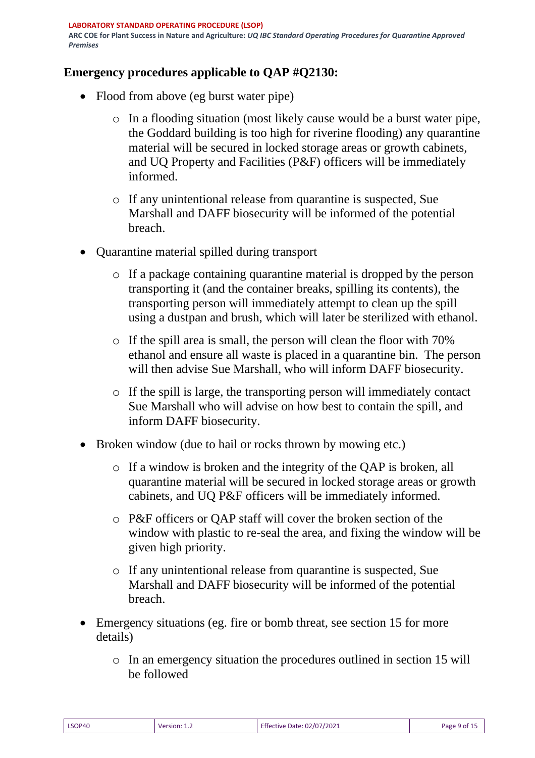# **Emergency procedures applicable to QAP #Q2130:**

- Flood from above (eg burst water pipe)
	- o In a flooding situation (most likely cause would be a burst water pipe, the Goddard building is too high for riverine flooding) any quarantine material will be secured in locked storage areas or growth cabinets, and UQ Property and Facilities (P&F) officers will be immediately informed.
	- o If any unintentional release from quarantine is suspected, Sue Marshall and DAFF biosecurity will be informed of the potential breach.
- Quarantine material spilled during transport
	- o If a package containing quarantine material is dropped by the person transporting it (and the container breaks, spilling its contents), the transporting person will immediately attempt to clean up the spill using a dustpan and brush, which will later be sterilized with ethanol.
	- o If the spill area is small, the person will clean the floor with 70% ethanol and ensure all waste is placed in a quarantine bin. The person will then advise Sue Marshall, who will inform DAFF biosecurity.
	- o If the spill is large, the transporting person will immediately contact Sue Marshall who will advise on how best to contain the spill, and inform DAFF biosecurity.
- Broken window (due to hail or rocks thrown by mowing etc.)
	- o If a window is broken and the integrity of the QAP is broken, all quarantine material will be secured in locked storage areas or growth cabinets, and UQ P&F officers will be immediately informed.
	- o P&F officers or QAP staff will cover the broken section of the window with plastic to re-seal the area, and fixing the window will be given high priority.
	- o If any unintentional release from quarantine is suspected, Sue Marshall and DAFF biosecurity will be informed of the potential breach.
- Emergency situations (eg. fire or bomb threat, see section 15 for more details)
	- o In an emergency situation the procedures outlined in section 15 will be followed

| LSOP40 | Version: 1.2 | <b>Effective Date: 02/07/2021</b> | Page 9 of 15 |
|--------|--------------|-----------------------------------|--------------|
|        |              |                                   |              |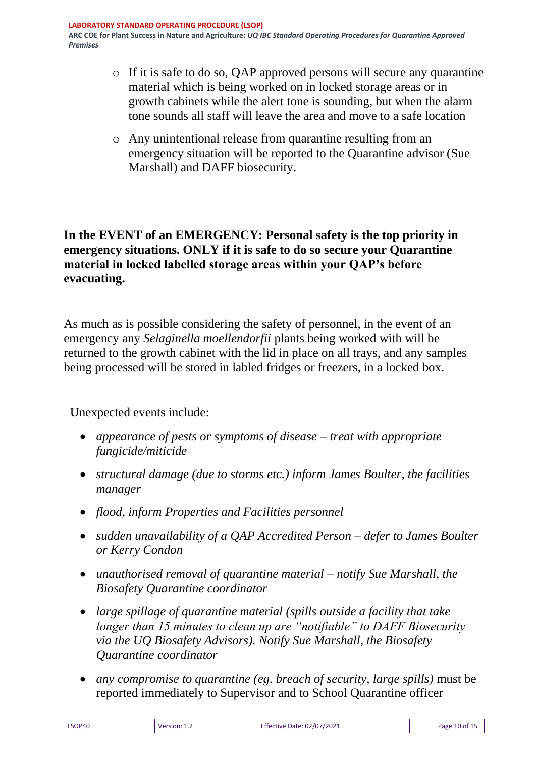- o If it is safe to do so, QAP approved persons will secure any quarantine material which is being worked on in locked storage areas or in growth cabinets while the alert tone is sounding, but when the alarm tone sounds all staff will leave the area and move to a safe location
- o Any unintentional release from quarantine resulting from an emergency situation will be reported to the Quarantine advisor (Sue Marshall) and DAFF biosecurity.

## **In the EVENT of an EMERGENCY: Personal safety is the top priority in emergency situations. ONLY if it is safe to do so secure your Quarantine material in locked labelled storage areas within your QAP's before evacuating.**

As much as is possible considering the safety of personnel, in the event of an emergency any *Selaginella moellendorfii* plants being worked with will be returned to the growth cabinet with the lid in place on all trays, and any samples being processed will be stored in labled fridges or freezers, in a locked box.

Unexpected events include:

- *appearance of pests or symptoms of disease – treat with appropriate fungicide/miticide*
- *structural damage (due to storms etc.) inform James Boulter, the facilities manager*
- *flood, inform Properties and Facilities personnel*
- *sudden unavailability of a QAP Accredited Person – defer to James Boulter or Kerry Condon*
- *unauthorised removal of quarantine material – notify Sue Marshall, the Biosafety Quarantine coordinator*
- *large spillage of quarantine material (spills outside a facility that take longer than 15 minutes to clean up are "notifiable" to DAFF Biosecurity via the UQ Biosafety Advisors). Notify Sue Marshall, the Biosafety Quarantine coordinator*
- *any compromise to quarantine (eg. breach of security, large spills)* must be reported immediately to Supervisor and to School Quarantine officer

| LSOP40 |              | <b>Effective Date: 02/07/2021</b> | Page 10 of 15 |
|--------|--------------|-----------------------------------|---------------|
|        | Version: 1.2 |                                   |               |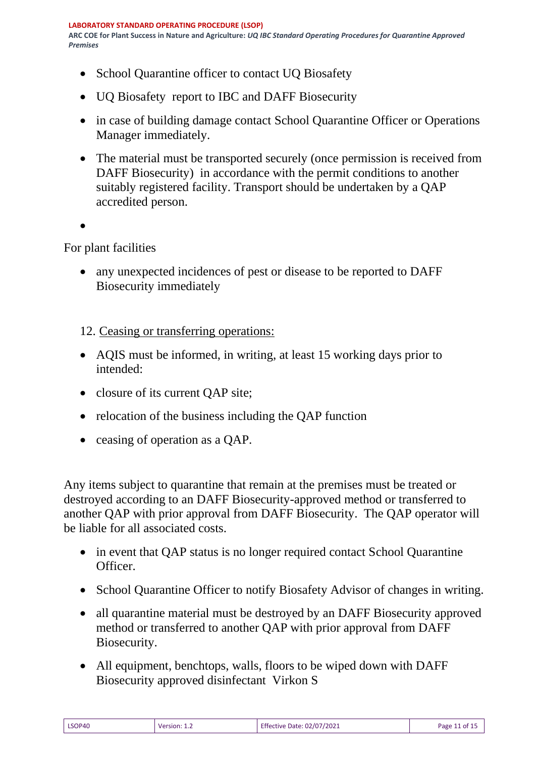- School Quarantine officer to contact UQ Biosafety
- UQ Biosafety report to IBC and DAFF Biosecurity
- in case of building damage contact School Quarantine Officer or Operations Manager immediately.
- The material must be transported securely (once permission is received from DAFF Biosecurity) in accordance with the permit conditions to another suitably registered facility. Transport should be undertaken by a QAP accredited person.
- •

For plant facilities

- any unexpected incidences of pest or disease to be reported to DAFF Biosecurity immediately
- 12. Ceasing or transferring operations:
- AQIS must be informed, in writing, at least 15 working days prior to intended:
- closure of its current QAP site;
- relocation of the business including the QAP function
- ceasing of operation as a QAP.

Any items subject to quarantine that remain at the premises must be treated or destroyed according to an DAFF Biosecurity-approved method or transferred to another QAP with prior approval from DAFF Biosecurity. The QAP operator will be liable for all associated costs.

- in event that QAP status is no longer required contact School Quarantine Officer.
- School Quarantine Officer to notify Biosafety Advisor of changes in writing.
- all quarantine material must be destroyed by an DAFF Biosecurity approved method or transferred to another QAP with prior approval from DAFF Biosecurity.
- All equipment, benchtops, walls, floors to be wiped down with DAFF Biosecurity approved disinfectant Virkon S

| LSOP40         | <b>Effective Date: 02/07/2021</b> |
|----------------|-----------------------------------|
| Version: $1.2$ | Page 11 of 15                     |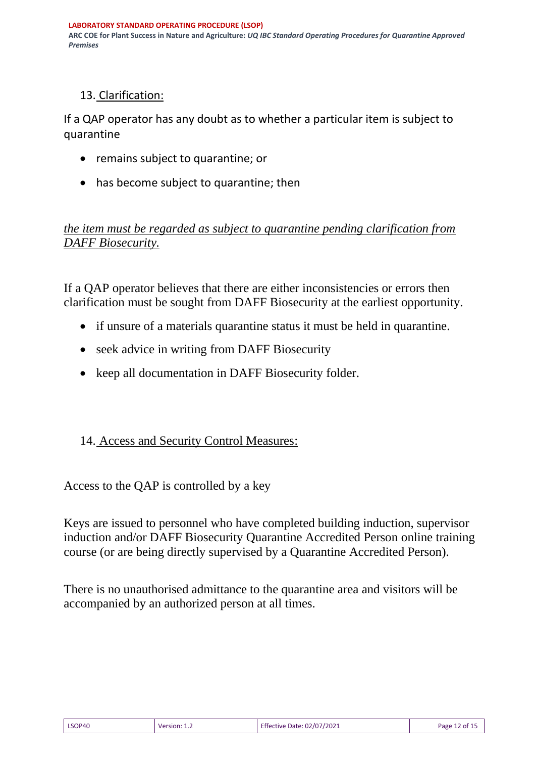# 13. Clarification:

If a QAP operator has any doubt as to whether a particular item is subject to quarantine

- remains subject to quarantine; or
- has become subject to quarantine; then

# *the item must be regarded as subject to quarantine pending clarification from DAFF Biosecurity.*

If a QAP operator believes that there are either inconsistencies or errors then clarification must be sought from DAFF Biosecurity at the earliest opportunity.

- if unsure of a materials quarantine status it must be held in quarantine.
- seek advice in writing from DAFF Biosecurity
- keep all documentation in DAFF Biosecurity folder.

# 14. Access and Security Control Measures:

Access to the QAP is controlled by a key

Keys are issued to personnel who have completed building induction, supervisor induction and/or DAFF Biosecurity Quarantine Accredited Person online training course (or are being directly supervised by a Quarantine Accredited Person).

There is no unauthorised admittance to the quarantine area and visitors will be accompanied by an authorized person at all times.

| LSOP40 | <b>Version:</b> $1.2$ | Effective Date: 02/07/2021 | Page 12 of 1 |
|--------|-----------------------|----------------------------|--------------|
|--------|-----------------------|----------------------------|--------------|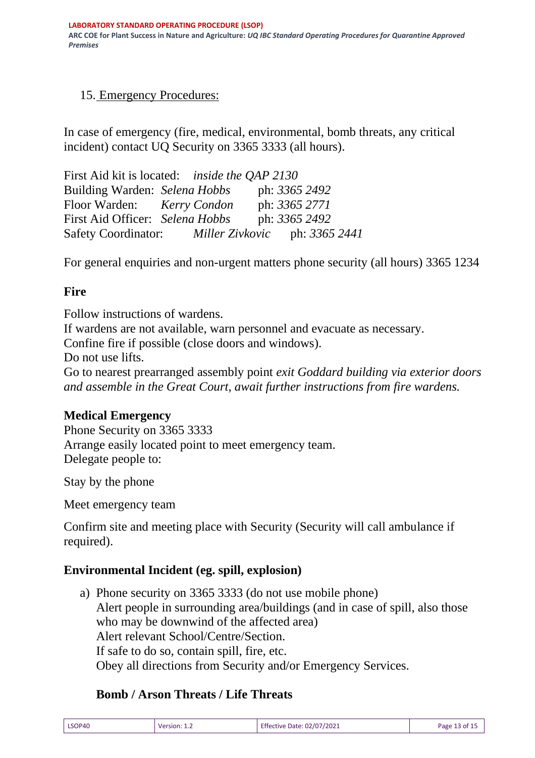# 15. Emergency Procedures:

In case of emergency (fire, medical, environmental, bomb threats, any critical incident) contact UQ Security on 3365 3333 (all hours).

First Aid kit is located: *inside the QAP 2130* Building Warden: *Selena Hobbs* ph: *3365 2492* Floor Warden: *Kerry Condon* ph: *3365 2771* First Aid Officer: *Selena Hobbs* ph: 3365 2492 Safety Coordinator: *Miller Zivkovic* ph: *3365 2441*

For general enquiries and non-urgent matters phone security (all hours) 3365 1234

## **Fire**

Follow instructions of wardens. If wardens are not available, warn personnel and evacuate as necessary. Confine fire if possible (close doors and windows). Do not use lifts. Go to nearest prearranged assembly point *exit Goddard building via exterior doors and assemble in the Great Court, await further instructions from fire wardens.*

### **Medical Emergency**

Phone Security on 3365 3333 Arrange easily located point to meet emergency team. Delegate people to:

Stay by the phone

Meet emergency team

Confirm site and meeting place with Security (Security will call ambulance if required).

### **Environmental Incident (eg. spill, explosion)**

a) Phone security on 3365 3333 (do not use mobile phone) Alert people in surrounding area/buildings (and in case of spill, also those who may be downwind of the affected area) Alert relevant School/Centre/Section. If safe to do so, contain spill, fire, etc. Obey all directions from Security and/or Emergency Services.

# **Bomb / Arson Threats / Life Threats**

| Effective Date: 02/07/2021<br>LSOP40<br>Page 13 of 15<br>Version: 1.2 |  |
|-----------------------------------------------------------------------|--|
|-----------------------------------------------------------------------|--|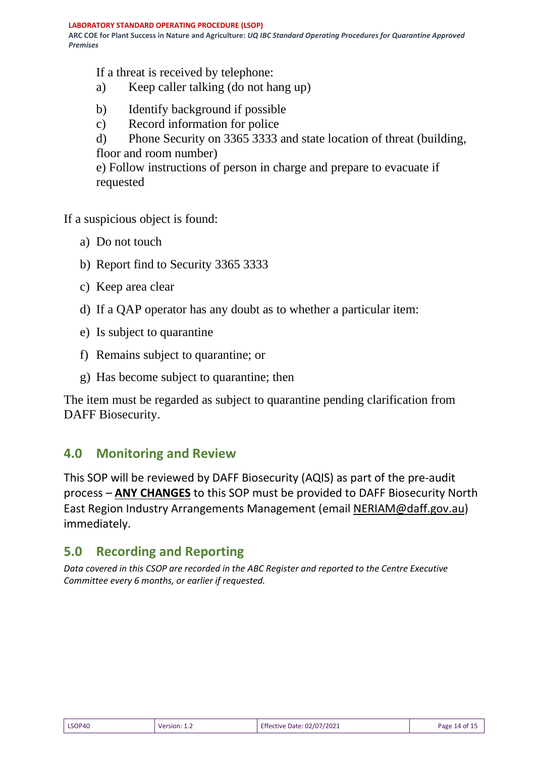If a threat is received by telephone:

- a) Keep caller talking (do not hang up)
- b) Identify background if possible
- c) Record information for police
- d) Phone Security on 3365 3333 and state location of threat (building, floor and room number)

e) Follow instructions of person in charge and prepare to evacuate if requested

If a suspicious object is found:

- a) Do not touch
- b) Report find to Security 3365 3333
- c) Keep area clear
- d) If a QAP operator has any doubt as to whether a particular item:
- e) Is subject to quarantine
- f) Remains subject to quarantine; or
- g) Has become subject to quarantine; then

The item must be regarded as subject to quarantine pending clarification from DAFF Biosecurity.

# **4.0 Monitoring and Review**

This SOP will be reviewed by DAFF Biosecurity (AQIS) as part of the pre-audit process – **ANY CHANGES** to this SOP must be provided to DAFF Biosecurity North East Region Industry Arrangements Management (email [NERIAM@daff.gov.au\)](mailto:NERIAM@daff.gov.au) immediately.

# **5.0 Recording and Reporting**

*Data covered in this CSOP are recorded in the ABC Register and reported to the Centre Executive Committee every 6 months, or earlier if requested.*

| LSOP40 | Version: 1.2 | <b>Effective Date: 02/07/2021</b> | Page 14 of 15 |
|--------|--------------|-----------------------------------|---------------|
|--------|--------------|-----------------------------------|---------------|